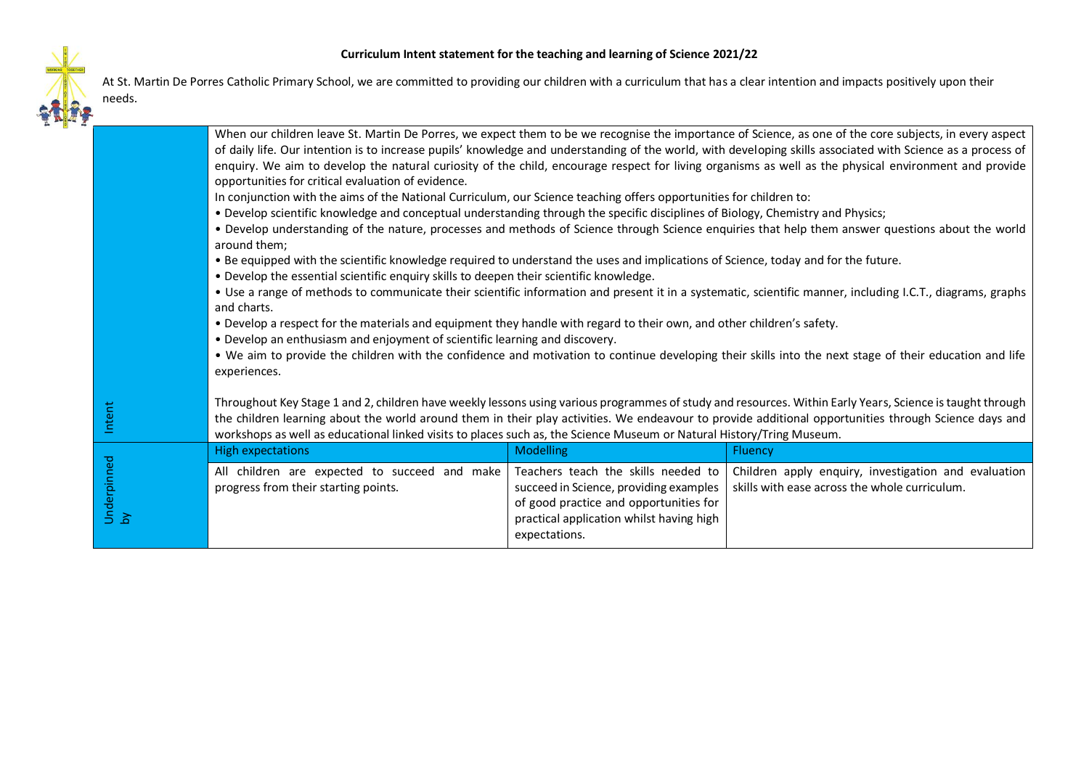

At St. Martin De Porres Catholic Primary School, we are committed to providing our children with a curriculum that has a clear intention and impacts positively upon their needs.

|  |                   |                                                                                                                                                                                                                                                                                                                                                                                                                                             |                                                                                                                              | When our children leave St. Martin De Porres, we expect them to be we recognise the importance of Science, as one of the core subjects, in every aspect<br>of daily life. Our intention is to increase pupils' knowledge and understanding of the world, with developing skills associated with Science as a process of |  |
|--|-------------------|---------------------------------------------------------------------------------------------------------------------------------------------------------------------------------------------------------------------------------------------------------------------------------------------------------------------------------------------------------------------------------------------------------------------------------------------|------------------------------------------------------------------------------------------------------------------------------|-------------------------------------------------------------------------------------------------------------------------------------------------------------------------------------------------------------------------------------------------------------------------------------------------------------------------|--|
|  |                   | opportunities for critical evaluation of evidence.                                                                                                                                                                                                                                                                                                                                                                                          |                                                                                                                              | enquiry. We aim to develop the natural curiosity of the child, encourage respect for living organisms as well as the physical environment and provide                                                                                                                                                                   |  |
|  |                   | In conjunction with the aims of the National Curriculum, our Science teaching offers opportunities for children to:                                                                                                                                                                                                                                                                                                                         |                                                                                                                              |                                                                                                                                                                                                                                                                                                                         |  |
|  |                   | . Develop scientific knowledge and conceptual understanding through the specific disciplines of Biology, Chemistry and Physics;                                                                                                                                                                                                                                                                                                             |                                                                                                                              |                                                                                                                                                                                                                                                                                                                         |  |
|  |                   | . Develop understanding of the nature, processes and methods of Science through Science enquiries that help them answer questions about the world<br>around them;                                                                                                                                                                                                                                                                           |                                                                                                                              |                                                                                                                                                                                                                                                                                                                         |  |
|  |                   | . Be equipped with the scientific knowledge required to understand the uses and implications of Science, today and for the future.<br>. Develop the essential scientific enquiry skills to deepen their scientific knowledge.                                                                                                                                                                                                               |                                                                                                                              |                                                                                                                                                                                                                                                                                                                         |  |
|  |                   | and charts.                                                                                                                                                                                                                                                                                                                                                                                                                                 |                                                                                                                              | • Use a range of methods to communicate their scientific information and present it in a systematic, scientific manner, including I.C.T., diagrams, graphs                                                                                                                                                              |  |
|  |                   | . Develop a respect for the materials and equipment they handle with regard to their own, and other children's safety.                                                                                                                                                                                                                                                                                                                      |                                                                                                                              |                                                                                                                                                                                                                                                                                                                         |  |
|  |                   | • Develop an enthusiasm and enjoyment of scientific learning and discovery.                                                                                                                                                                                                                                                                                                                                                                 |                                                                                                                              |                                                                                                                                                                                                                                                                                                                         |  |
|  |                   | . We aim to provide the children with the confidence and motivation to continue developing their skills into the next stage of their education and life<br>experiences.                                                                                                                                                                                                                                                                     |                                                                                                                              |                                                                                                                                                                                                                                                                                                                         |  |
|  | Intent            | Throughout Key Stage 1 and 2, children have weekly lessons using various programmes of study and resources. Within Early Years, Science is taught through<br>the children learning about the world around them in their play activities. We endeavour to provide additional opportunities through Science days and<br>workshops as well as educational linked visits to places such as, the Science Museum or Natural History/Tring Museum. |                                                                                                                              |                                                                                                                                                                                                                                                                                                                         |  |
|  | Underpinned<br>by | <b>High expectations</b>                                                                                                                                                                                                                                                                                                                                                                                                                    | Modelling                                                                                                                    | <b>Fluency</b>                                                                                                                                                                                                                                                                                                          |  |
|  |                   | All children are expected to succeed and make Teachers teach the skills needed to<br>progress from their starting points.                                                                                                                                                                                                                                                                                                                   | succeed in Science, providing examples<br>of good practice and opportunities for<br>practical application whilst having high | Children apply enquiry, investigation and evaluation<br>skills with ease across the whole curriculum.                                                                                                                                                                                                                   |  |